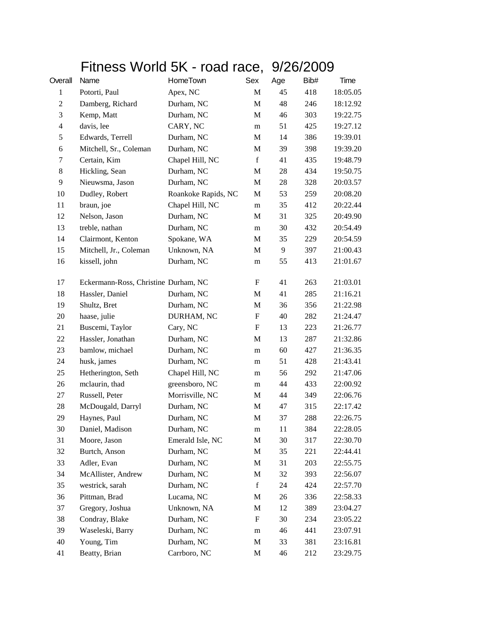## Fitness World 5K - road race, 9/26/2009

| Overall        | Name                                 | HomeTown            | Sex                       | Age | Bib# | Time     |
|----------------|--------------------------------------|---------------------|---------------------------|-----|------|----------|
| $\mathbf{1}$   | Potorti, Paul                        | Apex, NC            | M                         | 45  | 418  | 18:05.05 |
| $\overline{c}$ | Damberg, Richard                     | Durham, NC          | M                         | 48  | 246  | 18:12.92 |
| 3              | Kemp, Matt                           | Durham, NC          | M                         | 46  | 303  | 19:22.75 |
| $\overline{4}$ | davis, lee                           | CARY, NC            | m                         | 51  | 425  | 19:27.12 |
| 5              | Edwards, Terrell                     | Durham, NC          | M                         | 14  | 386  | 19:39.01 |
| 6              | Mitchell, Sr., Coleman               | Durham, NC          | $\mathbf M$               | 39  | 398  | 19:39.20 |
| 7              | Certain, Kim                         | Chapel Hill, NC     | $\mathbf f$               | 41  | 435  | 19:48.79 |
| 8              | Hickling, Sean                       | Durham, NC          | M                         | 28  | 434  | 19:50.75 |
| 9              | Nieuwsma, Jason                      | Durham, NC          | M                         | 28  | 328  | 20:03.57 |
| 10             | Dudley, Robert                       | Roankoke Rapids, NC | M                         | 53  | 259  | 20:08.20 |
| 11             | braun, joe                           | Chapel Hill, NC     | m                         | 35  | 412  | 20:22.44 |
| 12             | Nelson, Jason                        | Durham, NC          | M                         | 31  | 325  | 20:49.90 |
| 13             | treble, nathan                       | Durham, NC          | m                         | 30  | 432  | 20:54.49 |
| 14             | Clairmont, Kenton                    | Spokane, WA         | M                         | 35  | 229  | 20:54.59 |
| 15             | Mitchell, Jr., Coleman               | Unknown, NA         | M                         | 9   | 397  | 21:00.43 |
| 16             | kissell, john                        | Durham, NC          | m                         | 55  | 413  | 21:01.67 |
| 17             | Eckermann-Ross, Christine Durham, NC |                     | F                         | 41  | 263  | 21:03.01 |
| 18             | Hassler, Daniel                      | Durham, NC          | M                         | 41  | 285  | 21:16.21 |
| 19             | Shultz, Bret                         | Durham, NC          | M                         | 36  | 356  | 21:22.98 |
| 20             | haase, julie                         | DURHAM, NC          | F                         | 40  | 282  | 21:24.47 |
| 21             | Buscemi, Taylor                      | Cary, NC            | $\boldsymbol{\mathrm{F}}$ | 13  | 223  | 21:26.77 |
| 22             | Hassler, Jonathan                    | Durham, NC          | M                         | 13  | 287  | 21:32.86 |
| 23             | bamlow, michael                      | Durham, NC          | m                         | 60  | 427  | 21:36.35 |
| 24             | husk, james                          | Durham, NC          | m                         | 51  | 428  | 21:43.41 |
| 25             | Hetherington, Seth                   | Chapel Hill, NC     | m                         | 56  | 292  | 21:47.06 |
| 26             | mclaurin, thad                       | greensboro, NC      | m                         | 44  | 433  | 22:00.92 |
| 27             | Russell, Peter                       | Morrisville, NC     | M                         | 44  | 349  | 22:06.76 |
| 28             | McDougald, Darryl                    | Durham, NC          | M                         | 47  | 315  | 22:17.42 |
| 29             | Haynes, Paul                         | Durham, NC          | M                         | 37  | 288  | 22:26.75 |
| 30             | Daniel, Madison                      | Durham, NC          | m                         | 11  | 384  | 22:28.05 |
| 31             | Moore, Jason                         | Emerald Isle, NC    | $\mathbf M$               | 30  | 317  | 22:30.70 |
| 32             | Burtch, Anson                        | Durham, NC          | M                         | 35  | 221  | 22:44.41 |
| 33             | Adler, Evan                          | Durham, NC          | M                         | 31  | 203  | 22:55.75 |
| 34             | McAllister, Andrew                   | Durham, NC          | M                         | 32  | 393  | 22:56.07 |
| 35             | westrick, sarah                      | Durham, NC          | $\mathbf f$               | 24  | 424  | 22:57.70 |
| 36             | Pittman, Brad                        | Lucama, NC          | M                         | 26  | 336  | 22:58.33 |
| 37             | Gregory, Joshua                      | Unknown, NA         | M                         | 12  | 389  | 23:04.27 |
| 38             | Condray, Blake                       | Durham, NC          | F                         | 30  | 234  | 23:05.22 |
| 39             | Waseleski, Barry                     | Durham, NC          | m                         | 46  | 441  | 23:07.91 |
| 40             | Young, Tim                           | Durham, NC          | M                         | 33  | 381  | 23:16.81 |
| 41             | Beatty, Brian                        | Carrboro, NC        | M                         | 46  | 212  | 23:29.75 |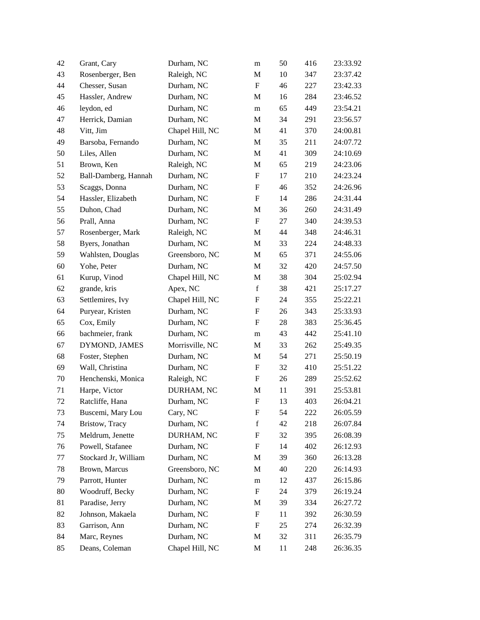| 42 | Grant, Cary          | Durham, NC      | m                         | 50 | 416 | 23:33.92 |
|----|----------------------|-----------------|---------------------------|----|-----|----------|
| 43 | Rosenberger, Ben     | Raleigh, NC     | M                         | 10 | 347 | 23:37.42 |
| 44 | Chesser, Susan       | Durham, NC      | $\boldsymbol{\mathrm{F}}$ | 46 | 227 | 23:42.33 |
| 45 | Hassler, Andrew      | Durham, NC      | M                         | 16 | 284 | 23:46.52 |
| 46 | leydon, ed           | Durham, NC      | m                         | 65 | 449 | 23:54.21 |
| 47 | Herrick, Damian      | Durham, NC      | M                         | 34 | 291 | 23:56.57 |
| 48 | Vitt, Jim            | Chapel Hill, NC | M                         | 41 | 370 | 24:00.81 |
| 49 | Barsoba, Fernando    | Durham, NC      | $\mathbf M$               | 35 | 211 | 24:07.72 |
| 50 | Liles, Allen         | Durham, NC      | M                         | 41 | 309 | 24:10.69 |
| 51 | Brown, Ken           | Raleigh, NC     | M                         | 65 | 219 | 24:23.06 |
| 52 | Ball-Damberg, Hannah | Durham, NC      | $\boldsymbol{\mathrm{F}}$ | 17 | 210 | 24:23.24 |
| 53 | Scaggs, Donna        | Durham, NC      | F                         | 46 | 352 | 24:26.96 |
| 54 | Hassler, Elizabeth   | Durham, NC      | $\boldsymbol{\mathrm{F}}$ | 14 | 286 | 24:31.44 |
| 55 | Duhon, Chad          | Durham, NC      | M                         | 36 | 260 | 24:31.49 |
| 56 | Prall, Anna          | Durham, NC      | $\boldsymbol{\mathrm{F}}$ | 27 | 340 | 24:39.53 |
| 57 | Rosenberger, Mark    | Raleigh, NC     | M                         | 44 | 348 | 24:46.31 |
| 58 | Byers, Jonathan      | Durham, NC      | $\mathbf M$               | 33 | 224 | 24:48.33 |
| 59 | Wahlsten, Douglas    | Greensboro, NC  | $\mathbf M$               | 65 | 371 | 24:55.06 |
| 60 | Yohe, Peter          | Durham, NC      | M                         | 32 | 420 | 24:57.50 |
| 61 | Kurup, Vinod         | Chapel Hill, NC | M                         | 38 | 304 | 25:02.94 |
| 62 | grande, kris         | Apex, NC        | $\mathbf f$               | 38 | 421 | 25:17.27 |
| 63 | Settlemires, Ivy     | Chapel Hill, NC | F                         | 24 | 355 | 25:22.21 |
| 64 | Puryear, Kristen     | Durham, NC      | $\boldsymbol{\mathrm{F}}$ | 26 | 343 | 25:33.93 |
| 65 | Cox, Emily           | Durham, NC      | F                         | 28 | 383 | 25:36.45 |
| 66 | bachmeier, frank     | Durham, NC      | m                         | 43 | 442 | 25:41.10 |
| 67 | DYMOND, JAMES        | Morrisville, NC | M                         | 33 | 262 | 25:49.35 |
| 68 | Foster, Stephen      | Durham, NC      | M                         | 54 | 271 | 25:50.19 |
| 69 | Wall, Christina      | Durham, NC      | $\boldsymbol{\mathrm{F}}$ | 32 | 410 | 25:51.22 |
| 70 | Henchenski, Monica   | Raleigh, NC     | F                         | 26 | 289 | 25:52.62 |
| 71 | Harpe, Victor        | DURHAM, NC      | M                         | 11 | 391 | 25:53.81 |
| 72 | Ratcliffe, Hana      | Durham, NC      | $\boldsymbol{\mathrm{F}}$ | 13 | 403 | 26:04.21 |
| 73 | Buscemi, Mary Lou    | Cary, NC        | F                         | 54 | 222 | 26:05.59 |
| 74 | Bristow, Tracy       | Durham, NC      | $\mathbf f$               | 42 | 218 | 26:07.84 |
| 75 | Meldrum, Jenette     | DURHAM, NC      | F                         | 32 | 395 | 26:08.39 |
| 76 | Powell, Stafanee     | Durham, NC      | F                         | 14 | 402 | 26:12.93 |
| 77 | Stockard Jr, William | Durham, NC      | M                         | 39 | 360 | 26:13.28 |
| 78 | Brown, Marcus        | Greensboro, NC  | M                         | 40 | 220 | 26:14.93 |
| 79 | Parrott, Hunter      | Durham, NC      | m                         | 12 | 437 | 26:15.86 |
| 80 | Woodruff, Becky      | Durham, NC      | $\boldsymbol{\mathrm{F}}$ | 24 | 379 | 26:19.24 |
| 81 | Paradise, Jerry      | Durham, NC      | M                         | 39 | 334 | 26:27.72 |
| 82 | Johnson, Makaela     | Durham, NC      | $\boldsymbol{\mathrm{F}}$ | 11 | 392 | 26:30.59 |
| 83 | Garrison, Ann        | Durham, NC      | F                         | 25 | 274 | 26:32.39 |
| 84 | Marc, Reynes         | Durham, NC      | M                         | 32 | 311 | 26:35.79 |
| 85 | Deans, Coleman       | Chapel Hill, NC | M                         | 11 | 248 | 26:36.35 |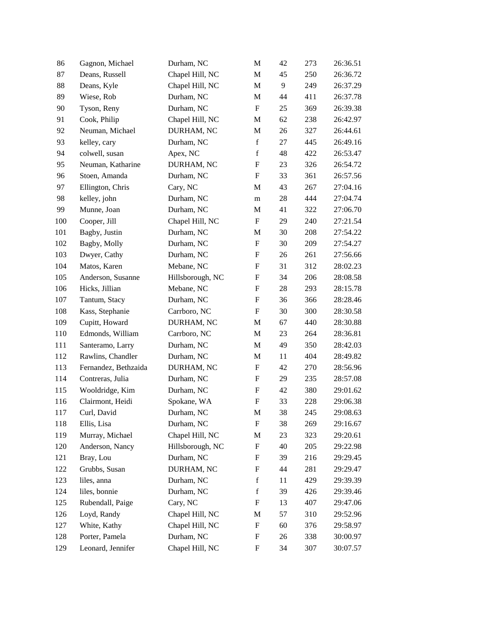| 86  | Gagnon, Michael      | Durham, NC       | M                         | 42 | 273 | 26:36.51 |
|-----|----------------------|------------------|---------------------------|----|-----|----------|
| 87  | Deans, Russell       | Chapel Hill, NC  | M                         | 45 | 250 | 26:36.72 |
| 88  | Deans, Kyle          | Chapel Hill, NC  | M                         | 9  | 249 | 26:37.29 |
| 89  | Wiese, Rob           | Durham, NC       | M                         | 44 | 411 | 26:37.78 |
| 90  | Tyson, Reny          | Durham, NC       | $\boldsymbol{\mathrm{F}}$ | 25 | 369 | 26:39.38 |
| 91  | Cook, Philip         | Chapel Hill, NC  | M                         | 62 | 238 | 26:42.97 |
| 92  | Neuman, Michael      | DURHAM, NC       | M                         | 26 | 327 | 26:44.61 |
| 93  | kelley, cary         | Durham, NC       | $\mathbf f$               | 27 | 445 | 26:49.16 |
| 94  | colwell, susan       | Apex, NC         | $\mathbf f$               | 48 | 422 | 26:53.47 |
| 95  | Neuman, Katharine    | DURHAM, NC       | $\boldsymbol{\mathrm{F}}$ | 23 | 326 | 26:54.72 |
| 96  | Stoen, Amanda        | Durham, NC       | $\boldsymbol{\mathrm{F}}$ | 33 | 361 | 26:57.56 |
| 97  | Ellington, Chris     | Cary, NC         | M                         | 43 | 267 | 27:04.16 |
| 98  | kelley, john         | Durham, NC       | m                         | 28 | 444 | 27:04.74 |
| 99  | Munne, Joan          | Durham, NC       | M                         | 41 | 322 | 27:06.70 |
| 100 | Cooper, Jill         | Chapel Hill, NC  | F                         | 29 | 240 | 27:21.54 |
| 101 | Bagby, Justin        | Durham, NC       | M                         | 30 | 208 | 27:54.22 |
| 102 | Bagby, Molly         | Durham, NC       | F                         | 30 | 209 | 27:54.27 |
| 103 | Dwyer, Cathy         | Durham, NC       | $\boldsymbol{\mathrm{F}}$ | 26 | 261 | 27:56.66 |
| 104 | Matos, Karen         | Mebane, NC       | $\boldsymbol{\mathrm{F}}$ | 31 | 312 | 28:02.23 |
| 105 | Anderson, Susanne    | Hillsborough, NC | F                         | 34 | 206 | 28:08.58 |
| 106 | Hicks, Jillian       | Mebane, NC       | $\boldsymbol{\mathrm{F}}$ | 28 | 293 | 28:15.78 |
| 107 | Tantum, Stacy        | Durham, NC       | F                         | 36 | 366 | 28:28.46 |
| 108 | Kass, Stephanie      | Carrboro, NC     | $\boldsymbol{\mathrm{F}}$ | 30 | 300 | 28:30.58 |
| 109 | Cupitt, Howard       | DURHAM, NC       | M                         | 67 | 440 | 28:30.88 |
| 110 | Edmonds, William     | Carrboro, NC     | M                         | 23 | 264 | 28:36.81 |
| 111 | Santeramo, Larry     | Durham, NC       | M                         | 49 | 350 | 28:42.03 |
| 112 | Rawlins, Chandler    | Durham, NC       | M                         | 11 | 404 | 28:49.82 |
| 113 | Fernandez, Bethzaida | DURHAM, NC       | $\boldsymbol{\mathrm{F}}$ | 42 | 270 | 28:56.96 |
| 114 | Contreras, Julia     | Durham, NC       | $\boldsymbol{\mathrm{F}}$ | 29 | 235 | 28:57.08 |
| 115 | Wooldridge, Kim      | Durham, NC       | F                         | 42 | 380 | 29:01.62 |
| 116 | Clairmont, Heidi     | Spokane, WA      | $\boldsymbol{\mathrm{F}}$ | 33 | 228 | 29:06.38 |
| 117 | Curl, David          | Durham, NC       | M                         | 38 | 245 | 29:08.63 |
| 118 | Ellis, Lisa          | Durham, NC       | F                         | 38 | 269 | 29:16.67 |
| 119 | Murray, Michael      | Chapel Hill, NC  | M                         | 23 | 323 | 29:20.61 |
| 120 | Anderson, Nancy      | Hillsborough, NC | $\boldsymbol{\mathrm{F}}$ | 40 | 205 | 29:22.98 |
| 121 | Bray, Lou            | Durham, NC       | F                         | 39 | 216 | 29:29.45 |
| 122 | Grubbs, Susan        | DURHAM, NC       | F                         | 44 | 281 | 29:29.47 |
| 123 | liles, anna          | Durham, NC       | $\mathbf f$               | 11 | 429 | 29:39.39 |
| 124 | liles, bonnie        | Durham, NC       | $\mathbf f$               | 39 | 426 | 29:39.46 |
| 125 | Rubendall, Paige     | Cary, NC         | F                         | 13 | 407 | 29:47.06 |
| 126 | Loyd, Randy          | Chapel Hill, NC  | M                         | 57 | 310 | 29:52.96 |
| 127 | White, Kathy         | Chapel Hill, NC  | F                         | 60 | 376 | 29:58.97 |
| 128 | Porter, Pamela       | Durham, NC       | F                         | 26 | 338 | 30:00.97 |
| 129 | Leonard, Jennifer    | Chapel Hill, NC  | F                         | 34 | 307 | 30:07.57 |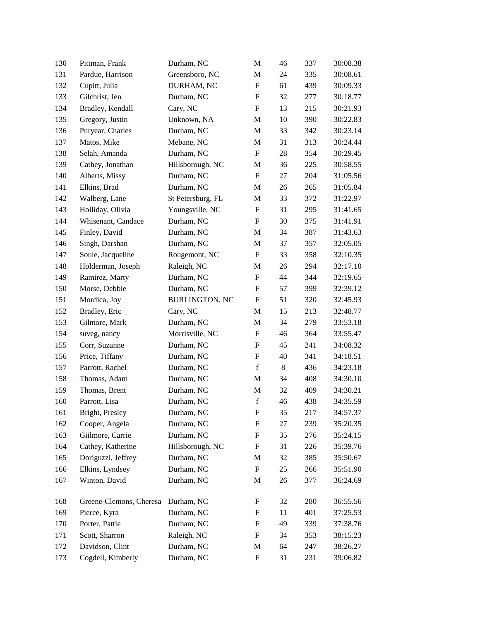| 130 | Pittman, Frank          | Durham, NC            | M                         | 46 | 337 | 30:08.38 |
|-----|-------------------------|-----------------------|---------------------------|----|-----|----------|
| 131 | Pardue, Harrison        | Greensboro, NC        | M                         | 24 | 335 | 30:08.61 |
| 132 | Cupitt, Julia           | DURHAM, NC            | ${\rm F}$                 | 61 | 439 | 30:09.33 |
| 133 | Gilchrist, Jen          | Durham, NC            | $\boldsymbol{\mathrm{F}}$ | 32 | 277 | 30:18.77 |
| 134 | Bradley, Kendall        | Cary, NC              | $\boldsymbol{\mathrm{F}}$ | 13 | 215 | 30:21.93 |
| 135 | Gregory, Justin         | Unknown, NA           | M                         | 10 | 390 | 30:22.83 |
| 136 | Puryear, Charles        | Durham, NC            | M                         | 33 | 342 | 30:23.14 |
| 137 | Matos, Mike             | Mebane, NC            | M                         | 31 | 313 | 30:24.44 |
| 138 | Selah, Amanda           | Durham, NC            | $\boldsymbol{\mathrm{F}}$ | 28 | 354 | 30:29.45 |
| 139 | Cathey, Jonathan        | Hillsborough, NC      | M                         | 36 | 225 | 30:58.55 |
| 140 | Alberts, Missy          | Durham, NC            | $\boldsymbol{\mathrm{F}}$ | 27 | 204 | 31:05.56 |
| 141 | Elkins, Brad            | Durham, NC            | M                         | 26 | 265 | 31:05.84 |
| 142 | Walberg, Lane           | St Petersburg, FL     | M                         | 33 | 372 | 31:22.97 |
| 143 | Holliday, Olivia        | Youngsville, NC       | $\boldsymbol{\mathrm{F}}$ | 31 | 295 | 31:41.65 |
| 144 | Whisenant, Candace      | Durham, NC            | $\boldsymbol{\mathrm{F}}$ | 30 | 375 | 31:41.91 |
| 145 | Finley, David           | Durham, NC            | M                         | 34 | 387 | 31:43.63 |
| 146 | Singh, Darshan          | Durham, NC            | M                         | 37 | 357 | 32:05.05 |
| 147 | Soule, Jacqueline       | Rougemont, NC         | $\boldsymbol{\mathrm{F}}$ | 33 | 358 | 32:10.35 |
| 148 | Holderman, Joseph       | Raleigh, NC           | M                         | 26 | 294 | 32:17.10 |
| 149 | Ramirez, Marty          | Durham, NC            | ${\rm F}$                 | 44 | 344 | 32:19.65 |
| 150 | Morse, Debbie           | Durham, NC            | F                         | 57 | 399 | 32:39.12 |
| 151 | Mordica, Joy            | <b>BURLINGTON, NC</b> | F                         | 51 | 320 | 32:45.93 |
| 152 | Bradley, Eric           | Cary, NC              | M                         | 15 | 213 | 32:48.77 |
| 153 | Gilmore, Mark           | Durham, NC            | M                         | 34 | 279 | 33:53.18 |
| 154 | suveg, nancy            | Morrisville, NC       | F                         | 46 | 364 | 33:55.47 |
| 155 | Corr, Suzanne           | Durham, NC            | F                         | 45 | 241 | 34:08.32 |
| 156 | Price, Tiffany          | Durham, NC            | F                         | 40 | 341 | 34:18.51 |
| 157 | Parrott, Rachel         | Durham, NC            | $\mathbf f$               | 8  | 436 | 34:23.18 |
| 158 | Thomas, Adam            | Durham, NC            | M                         | 34 | 408 | 34:30.10 |
| 159 | Thomas, Brent           | Durham, NC            | M                         | 32 | 409 | 34:30.21 |
| 160 | Parrott, Lisa           | Durham, NC            | $\mathbf f$               | 46 | 438 | 34:35.59 |
| 161 | Bright, Presley         | Durham, NC            | F                         | 35 | 217 | 34:57.37 |
| 162 | Cooper, Angela          | Durham, NC            | F                         | 27 | 239 | 35:20.35 |
| 163 | Giilmore, Carrie        | Durham, NC            | F                         | 35 | 276 | 35:24.15 |
| 164 | Cathey, Katherine       | Hillsborough, NC      | F                         | 31 | 226 | 35:39.76 |
| 165 | Doriguzzi, Jeffrey      | Durham, NC            | M                         | 32 | 385 | 35:50.67 |
| 166 | Elkins, Lyndsey         | Durham, NC            | F                         | 25 | 266 | 35:51.90 |
| 167 | Winton, David           | Durham, NC            | M                         | 26 | 377 | 36:24.69 |
| 168 | Greene-Clemons, Cheresa | Durham, NC            | F                         | 32 | 280 | 36:55.56 |
| 169 | Pierce, Kyra            | Durham, NC            | F                         | 11 | 401 | 37:25.53 |
| 170 | Porter, Pattie          | Durham, NC            | F                         | 49 | 339 | 37:38.76 |
| 171 | Scott, Sharron          | Raleigh, NC           | F                         | 34 | 353 | 38:15.23 |
| 172 | Davidson, Clint         | Durham, NC            | M                         | 64 | 247 | 38:26.27 |
| 173 | Cogdell, Kimberly       | Durham, NC            | F                         | 31 | 231 | 39:06.82 |